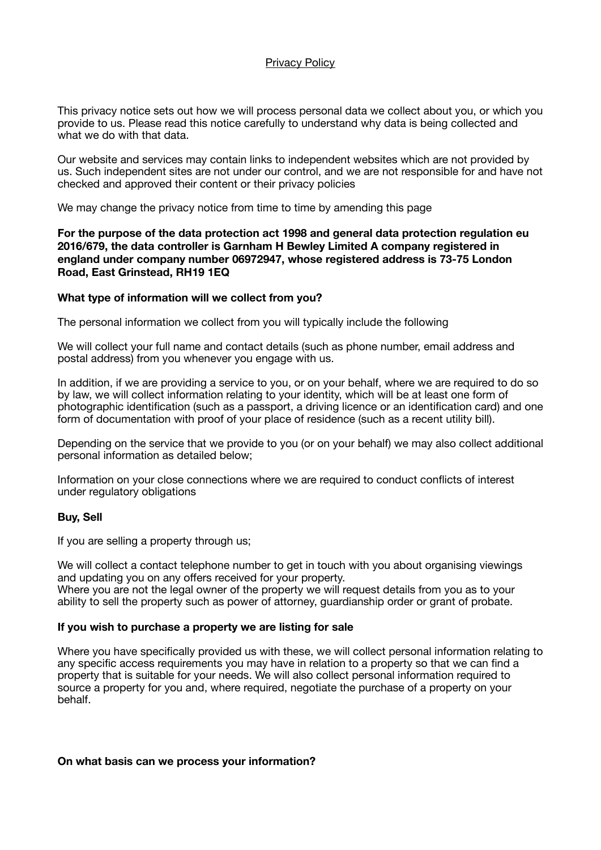### Privacy Policy

This privacy notice sets out how we will process personal data we collect about you, or which you provide to us. Please read this notice carefully to understand why data is being collected and what we do with that data.

Our website and services may contain links to independent websites which are not provided by us. Such independent sites are not under our control, and we are not responsible for and have not checked and approved their content or their privacy policies

We may change the privacy notice from time to time by amending this page

## **For the purpose of the data protection act 1998 and general data protection regulation eu 2016/679, the data controller is Garnham H Bewley Limited A company registered in england under company number 06972947, whose registered address is 73-75 London Road, East Grinstead, RH19 1EQ**

### **What type of information will we collect from you?**

The personal information we collect from you will typically include the following

We will collect your full name and contact details (such as phone number, email address and postal address) from you whenever you engage with us.

In addition, if we are providing a service to you, or on your behalf, where we are required to do so by law, we will collect information relating to your identity, which will be at least one form of photographic identification (such as a passport, a driving licence or an identification card) and one form of documentation with proof of your place of residence (such as a recent utility bill).

Depending on the service that we provide to you (or on your behalf) we may also collect additional personal information as detailed below;

Information on your close connections where we are required to conduct conflicts of interest under regulatory obligations

# **Buy, Sell**

If you are selling a property through us;

We will collect a contact telephone number to get in touch with you about organising viewings and updating you on any offers received for your property. Where you are not the legal owner of the property we will request details from you as to your ability to sell the property such as power of attorney, guardianship order or grant of probate.

#### **If you wish to purchase a property we are listing for sale**

Where you have specifically provided us with these, we will collect personal information relating to any specific access requirements you may have in relation to a property so that we can find a property that is suitable for your needs. We will also collect personal information required to source a property for you and, where required, negotiate the purchase of a property on your behalf.

**On what basis can we process your information?**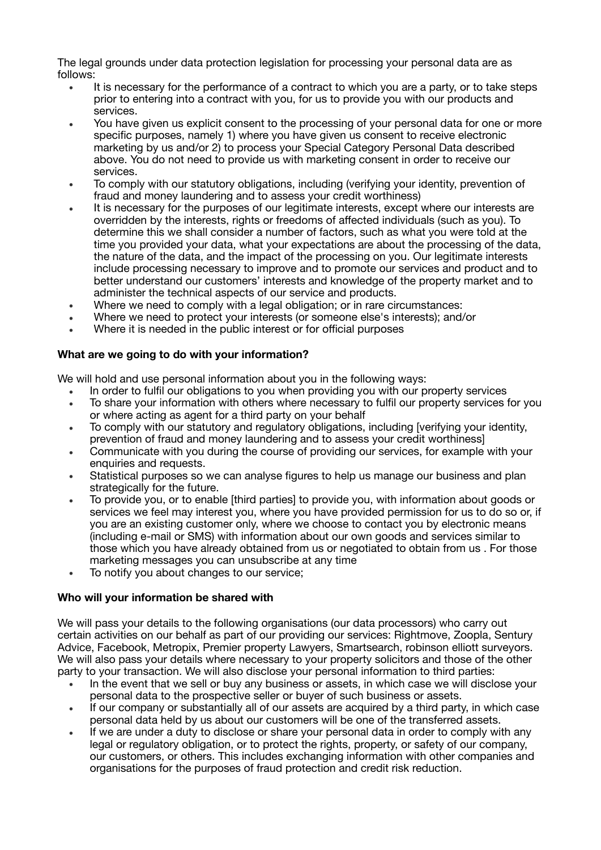The legal grounds under data protection legislation for processing your personal data are as follows:

- It is necessary for the performance of a contract to which you are a party, or to take steps prior to entering into a contract with you, for us to provide you with our products and services.
- You have given us explicit consent to the processing of your personal data for one or more specific purposes, namely 1) where you have given us consent to receive electronic marketing by us and/or 2) to process your Special Category Personal Data described above. You do not need to provide us with marketing consent in order to receive our services.
- To comply with our statutory obligations, including (verifying your identity, prevention of fraud and money laundering and to assess your credit worthiness)
- It is necessary for the purposes of our legitimate interests, except where our interests are overridden by the interests, rights or freedoms of affected individuals (such as you). To determine this we shall consider a number of factors, such as what you were told at the time you provided your data, what your expectations are about the processing of the data, the nature of the data, and the impact of the processing on you. Our legitimate interests include processing necessary to improve and to promote our services and product and to better understand our customers' interests and knowledge of the property market and to administer the technical aspects of our service and products.
- Where we need to comply with a legal obligation; or in rare circumstances:
- Where we need to protect your interests (or someone else's interests); and/or
- Where it is needed in the public interest or for official purposes

### **What are we going to do with your information?**

We will hold and use personal information about you in the following ways:

- In order to fulfil our obligations to you when providing you with our property services
- To share your information with others where necessary to fulfil our property services for you or where acting as agent for a third party on your behalf
- To comply with our statutory and regulatory obligations, including [verifying your identity, prevention of fraud and money laundering and to assess your credit worthiness]
- Communicate with you during the course of providing our services, for example with your enquiries and requests.
- Statistical purposes so we can analyse figures to help us manage our business and plan strategically for the future.
- To provide you, or to enable [third parties] to provide you, with information about goods or services we feel may interest you, where you have provided permission for us to do so or, if you are an existing customer only, where we choose to contact you by electronic means (including e-mail or SMS) with information about our own goods and services similar to those which you have already obtained from us or negotiated to obtain from us . For those marketing messages you can unsubscribe at any time
- To notify you about changes to our service;

#### **Who will your information be shared with**

We will pass your details to the following organisations (our data processors) who carry out certain activities on our behalf as part of our providing our services: Rightmove, Zoopla, Sentury Advice, Facebook, Metropix, Premier property Lawyers, Smartsearch, robinson elliott surveyors. We will also pass your details where necessary to your property solicitors and those of the other party to your transaction. We will also disclose your personal information to third parties:

- In the event that we sell or buy any business or assets, in which case we will disclose your personal data to the prospective seller or buyer of such business or assets.
- If our company or substantially all of our assets are acquired by a third party, in which case personal data held by us about our customers will be one of the transferred assets.
- If we are under a duty to disclose or share your personal data in order to comply with any legal or regulatory obligation, or to protect the rights, property, or safety of our company, our customers, or others. This includes exchanging information with other companies and organisations for the purposes of fraud protection and credit risk reduction.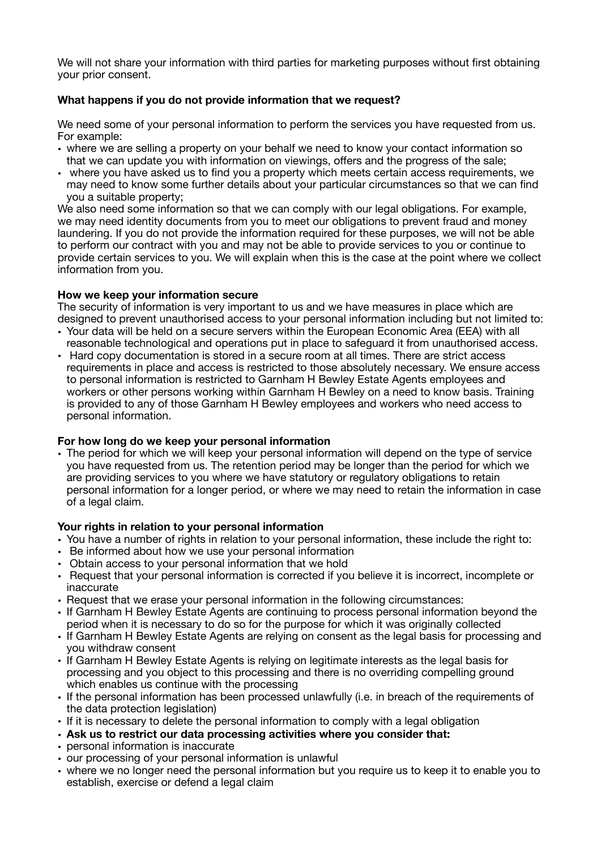We will not share your information with third parties for marketing purposes without first obtaining your prior consent.

# **What happens if you do not provide information that we request?**

We need some of your personal information to perform the services you have requested from us. For example:

- where we are selling a property on your behalf we need to know your contact information so that we can update you with information on viewings, offers and the progress of the sale;
- where you have asked us to find you a property which meets certain access requirements, we may need to know some further details about your particular circumstances so that we can find you a suitable property;

We also need some information so that we can comply with our legal obligations. For example, we may need identity documents from you to meet our obligations to prevent fraud and money laundering. If you do not provide the information required for these purposes, we will not be able to perform our contract with you and may not be able to provide services to you or continue to provide certain services to you. We will explain when this is the case at the point where we collect information from you.

#### **How we keep your information secure**

The security of information is very important to us and we have measures in place which are designed to prevent unauthorised access to your personal information including but not limited to:

- Your data will be held on a secure servers within the European Economic Area (EEA) with all reasonable technological and operations put in place to safeguard it from unauthorised access.
- Hard copy documentation is stored in a secure room at all times. There are strict access requirements in place and access is restricted to those absolutely necessary. We ensure access to personal information is restricted to Garnham H Bewley Estate Agents employees and workers or other persons working within Garnham H Bewley on a need to know basis. Training is provided to any of those Garnham H Bewley employees and workers who need access to personal information.

#### **For how long do we keep your personal information**

• The period for which we will keep your personal information will depend on the type of service you have requested from us. The retention period may be longer than the period for which we are providing services to you where we have statutory or regulatory obligations to retain personal information for a longer period, or where we may need to retain the information in case of a legal claim.

### **Your rights in relation to your personal information**

- You have a number of rights in relation to your personal information, these include the right to:
- Be informed about how we use your personal information
- Obtain access to your personal information that we hold
- Request that your personal information is corrected if you believe it is incorrect, incomplete or inaccurate
- Request that we erase your personal information in the following circumstances:
- If Garnham H Bewley Estate Agents are continuing to process personal information beyond the period when it is necessary to do so for the purpose for which it was originally collected
- If Garnham H Bewley Estate Agents are relying on consent as the legal basis for processing and you withdraw consent
- If Garnham H Bewley Estate Agents is relying on legitimate interests as the legal basis for processing and you object to this processing and there is no overriding compelling ground which enables us continue with the processing
- If the personal information has been processed unlawfully (i.e. in breach of the requirements of the data protection legislation)
- If it is necessary to delete the personal information to comply with a legal obligation
- **Ask us to restrict our data processing activities where you consider that:**
- personal information is inaccurate
- our processing of your personal information is unlawful
- where we no longer need the personal information but you require us to keep it to enable you to establish, exercise or defend a legal claim